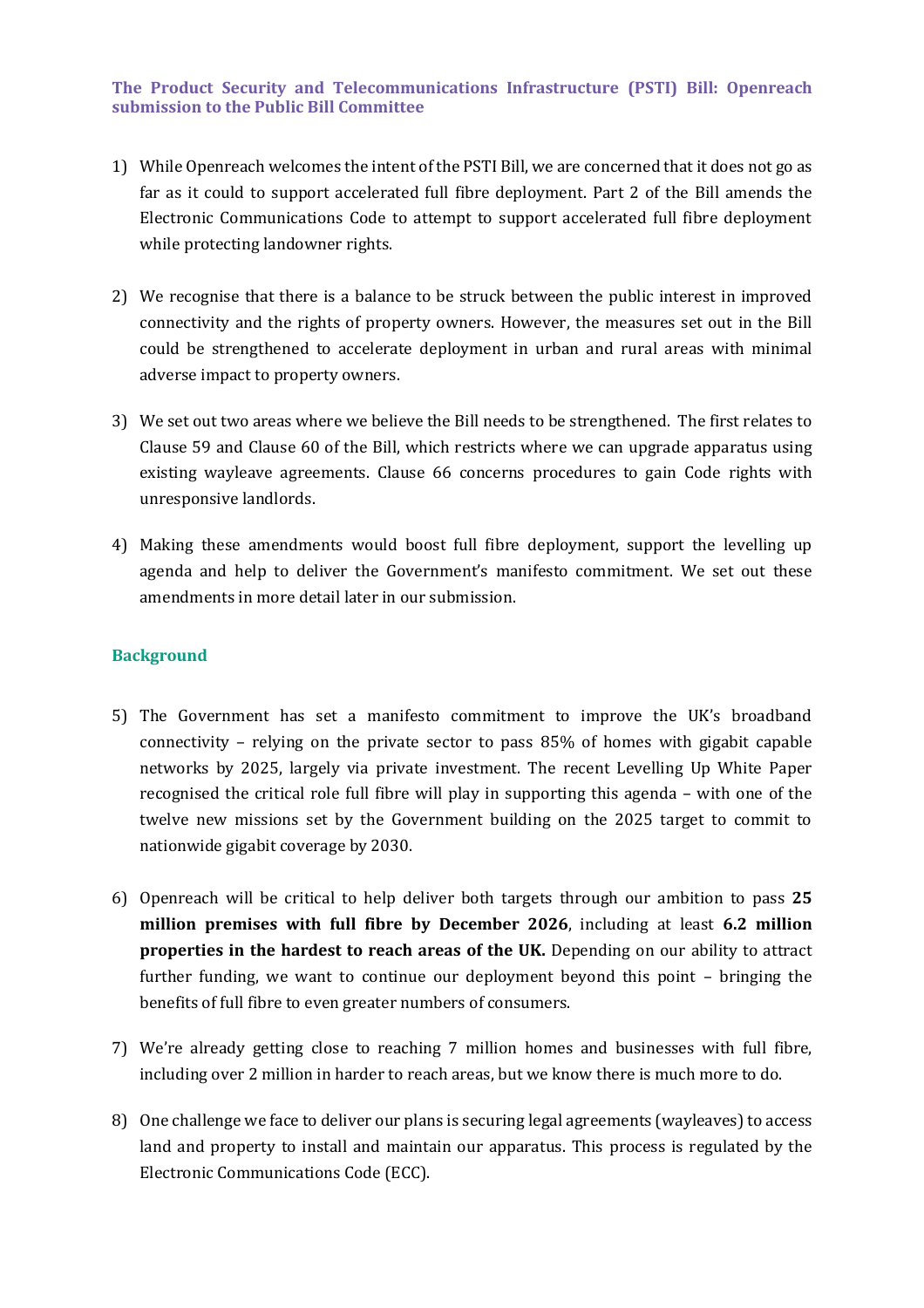### **The Product Security and Telecommunications Infrastructure (PSTI) Bill: Openreach submission to the Public Bill Committee**

- 1) While Openreach welcomes the intent of the PSTI Bill, we are concerned that it does not go as far as it could to support accelerated full fibre deployment. Part 2 of the Bill amends the Electronic Communications Code to attempt to support accelerated full fibre deployment while protecting landowner rights.
- 2) We recognise that there is a balance to be struck between the public interest in improved connectivity and the rights of property owners. However, the measures set out in the Bill could be strengthened to accelerate deployment in urban and rural areas with minimal adverse impact to property owners.
- 3) We set out two areas where we believe the Bill needs to be strengthened. The first relates to Clause 59 and Clause 60 of the Bill, which restricts where we can upgrade apparatus using existing wayleave agreements. Clause 66 concerns procedures to gain Code rights with unresponsive landlords.
- 4) Making these amendments would boost full fibre deployment, support the levelling up agenda and help to deliver the Government's manifesto commitment. We set out these amendments in more detail later in our submission.

### **Background**

- 5) The Government has set a manifesto commitment to improve the UK's broadband connectivity – relying on the private sector to pass 85% of homes with gigabit capable networks by 2025, largely via private investment. The recent Levelling Up White Paper recognised the critical role full fibre will play in supporting this agenda – with one of the twelve new missions set by the Government building on the 2025 target to commit to nationwide gigabit coverage by 2030.
- 6) Openreach will be critical to help deliver both targets through our ambition to pass **25 million premises with full fibre by December 2026**, including at least **6.2 million properties in the hardest to reach areas of the UK.** Depending on our ability to attract further funding, we want to continue our deployment beyond this point – bringing the benefits of full fibre to even greater numbers of consumers.
- 7) We're already getting close to reaching 7 million homes and businesses with full fibre, including over 2 million in harder to reach areas, but we know there is much more to do.
- 8) One challenge we face to deliver our plans is securing legal agreements (wayleaves) to access land and property to install and maintain our apparatus. This process is regulated by the Electronic Communications Code (ECC).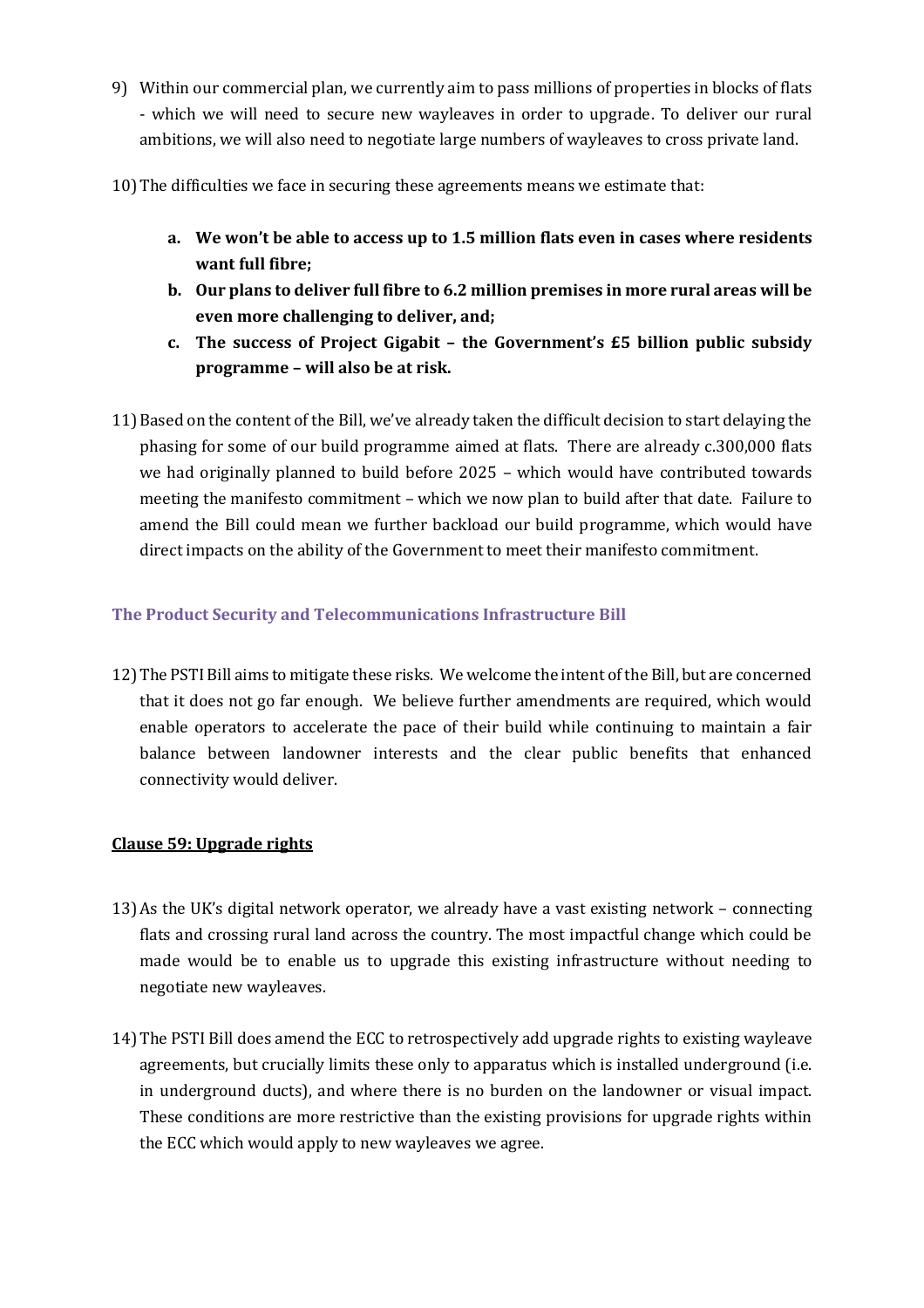- 9) Within our commercial plan, we currently aim to pass millions of properties in blocks of flats - which we will need to secure new wayleaves in order to upgrade. To deliver our rural ambitions, we will also need to negotiate large numbers of wayleaves to cross private land.
- 10)The difficulties we face in securing these agreements means we estimate that:
	- **a. We won't be able to access up to 1.5 million flats even in cases where residents want full fibre;**
	- **b. Our plans to deliver full fibre to 6.2 million premises in more rural areas will be even more challenging to deliver, and;**
	- **c. The success of Project Gigabit – the Government's £5 billion public subsidy programme – will also be at risk.**
- 11)Based on the content of the Bill, we've already taken the difficult decision to start delaying the phasing for some of our build programme aimed at flats. There are already c.300,000 flats we had originally planned to build before 2025 – which would have contributed towards meeting the manifesto commitment – which we now plan to build after that date. Failure to amend the Bill could mean we further backload our build programme, which would have direct impacts on the ability of the Government to meet their manifesto commitment.

# **The Product Security and Telecommunications Infrastructure Bill**

12)The PSTI Bill aims to mitigate these risks. We welcome the intent of the Bill, but are concerned that it does not go far enough. We believe further amendments are required, which would enable operators to accelerate the pace of their build while continuing to maintain a fair balance between landowner interests and the clear public benefits that enhanced connectivity would deliver.

### **Clause 59: Upgrade rights**

- 13)As the UK's digital network operator, we already have a vast existing network connecting flats and crossing rural land across the country. The most impactful change which could be made would be to enable us to upgrade this existing infrastructure without needing to negotiate new wayleaves.
- 14)The PSTI Bill does amend the ECC to retrospectively add upgrade rights to existing wayleave agreements, but crucially limits these only to apparatus which is installed underground (i.e. in underground ducts), and where there is no burden on the landowner or visual impact. These conditions are more restrictive than the existing provisions for upgrade rights within the ECC which would apply to new wayleaves we agree.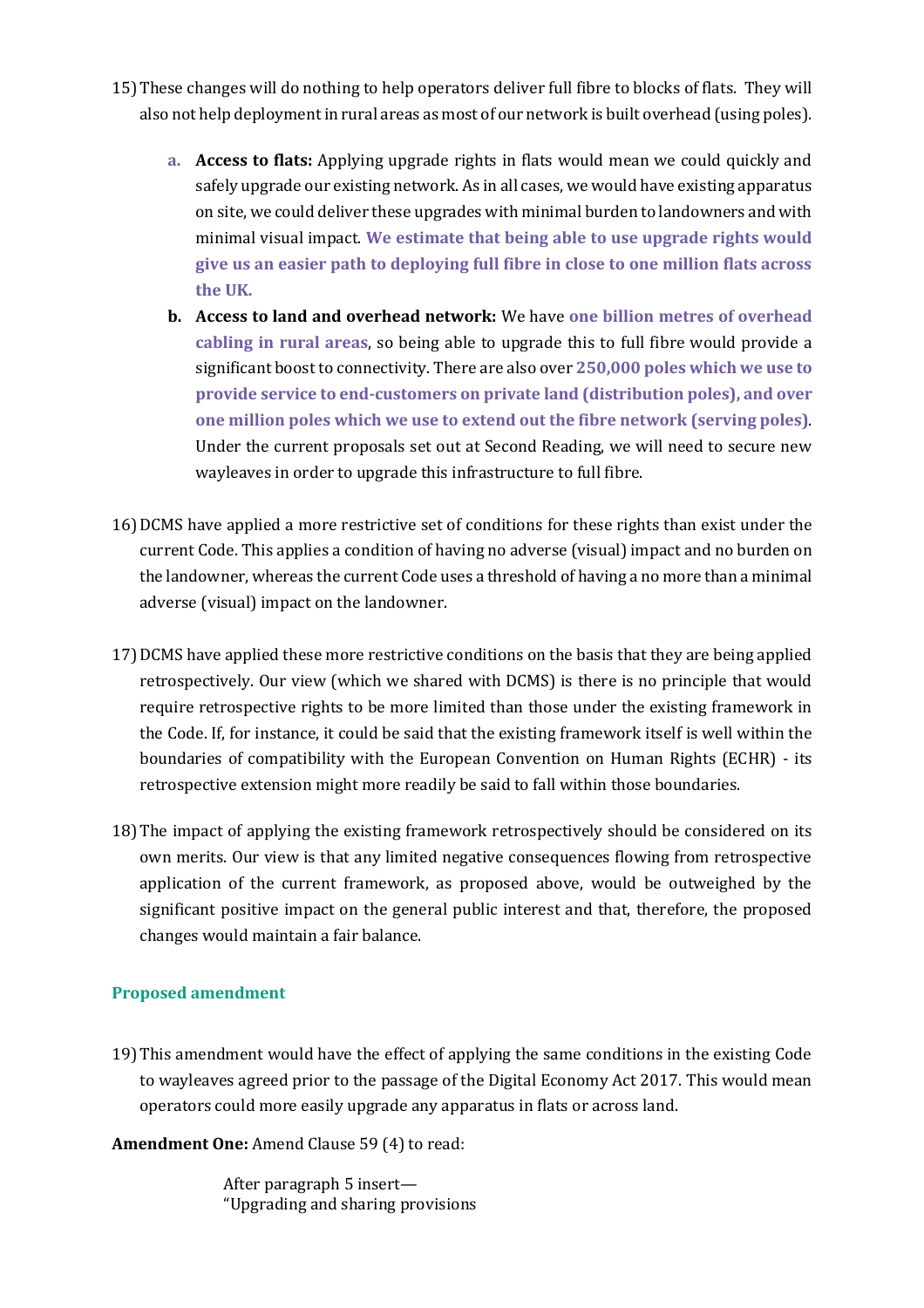- 15)These changes will do nothing to help operators deliver full fibre to blocks of flats. They will also not help deployment in rural areas as most of our network is built overhead (using poles).
	- **a. Access to flats:** Applying upgrade rights in flats would mean we could quickly and safely upgrade our existing network. As in all cases, we would have existing apparatus on site, we could deliver these upgrades with minimal burden to landowners and with minimal visual impact. **We estimate that being able to use upgrade rights would give us an easier path to deploying full fibre in close to one million flats across the UK.**
	- **b. Access to land and overhead network:** We have **one billion metres of overhead cabling in rural areas**, so being able to upgrade this to full fibre would provide a significant boost to connectivity. There are also over **250,000 poles which we use to provide service to end-customers on private land (distribution poles), and over one million poles which we use to extend out the fibre network (serving poles)**. Under the current proposals set out at Second Reading, we will need to secure new wayleaves in order to upgrade this infrastructure to full fibre.
- 16)DCMS have applied a more restrictive set of conditions for these rights than exist under the current Code. This applies a condition of having no adverse (visual) impact and no burden on the landowner, whereas the current Code uses a threshold of having a no more than a minimal adverse (visual) impact on the landowner.
- 17)DCMS have applied these more restrictive conditions on the basis that they are being applied retrospectively. Our view (which we shared with DCMS) is there is no principle that would require retrospective rights to be more limited than those under the existing framework in the Code. If, for instance, it could be said that the existing framework itself is well within the boundaries of compatibility with the European Convention on Human Rights (ECHR) - its retrospective extension might more readily be said to fall within those boundaries.
- 18)The impact of applying the existing framework retrospectively should be considered on its own merits. Our view is that any limited negative consequences flowing from retrospective application of the current framework, as proposed above, would be outweighed by the significant positive impact on the general public interest and that, therefore, the proposed changes would maintain a fair balance.

# **Proposed amendment**

19)This amendment would have the effect of applying the same conditions in the existing Code to wayleaves agreed prior to the passage of the Digital Economy Act 2017. This would mean operators could more easily upgrade any apparatus in flats or across land.

**Amendment One:** Amend Clause 59 (4) to read:

After paragraph 5 insert— "Upgrading and sharing provisions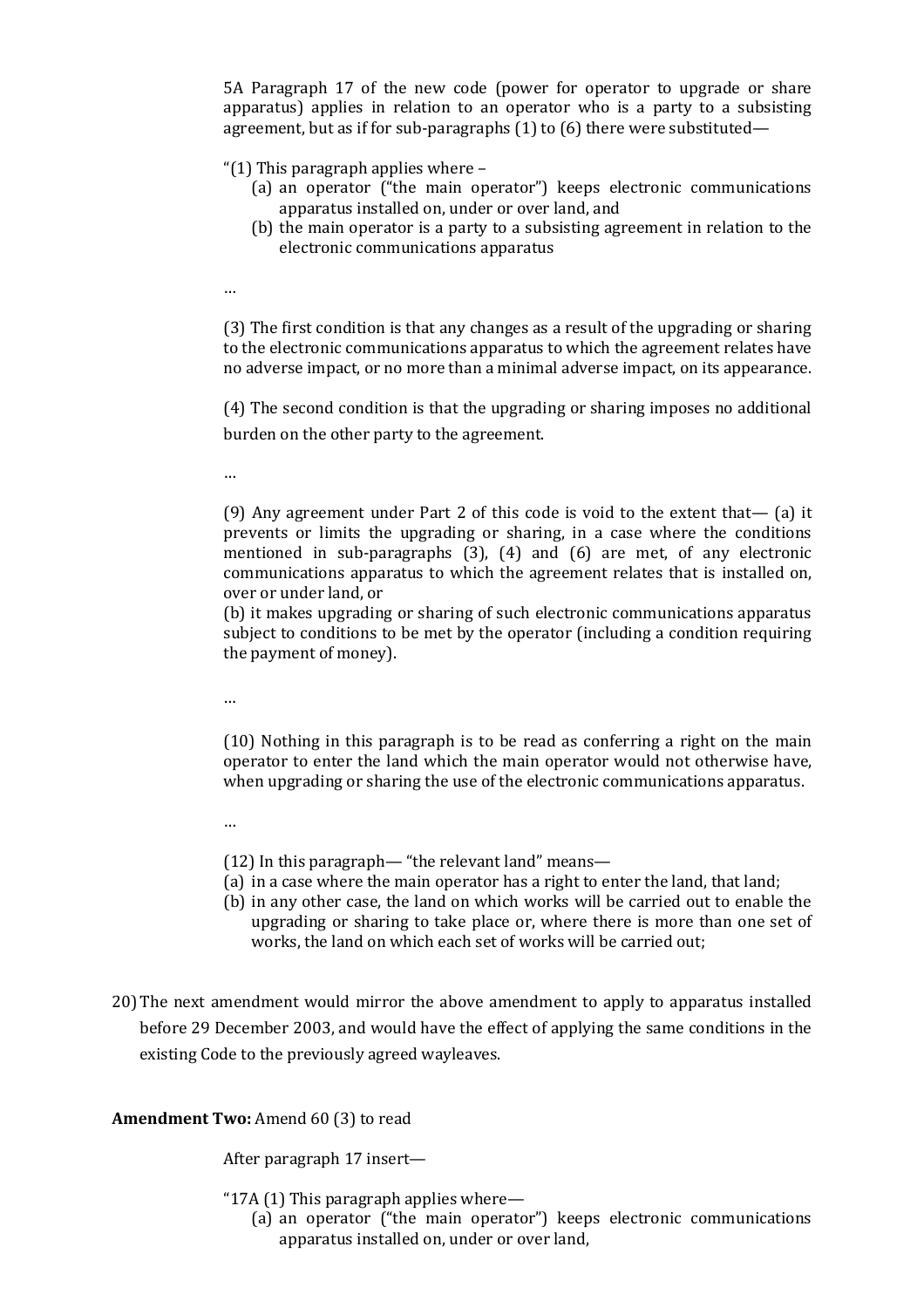5A Paragraph 17 of the new code (power for operator to upgrade or share apparatus) applies in relation to an operator who is a party to a subsisting agreement, but as if for sub-paragraphs (1) to (6) there were substituted—

"(1) This paragraph applies where –

- (a) an operator ("the main operator") keeps electronic communications apparatus installed on, under or over land, and
- (b) the main operator is a party to a subsisting agreement in relation to the electronic communications apparatus

…

(3) The first condition is that any changes as a result of the upgrading or sharing to the electronic communications apparatus to which the agreement relates have no adverse impact, or no more than a minimal adverse impact, on its appearance.

(4) The second condition is that the upgrading or sharing imposes no additional burden on the other party to the agreement.

…

(9) Any agreement under Part 2 of this code is void to the extent that— (a) it prevents or limits the upgrading or sharing, in a case where the conditions mentioned in sub-paragraphs (3), (4) and (6) are met, of any electronic communications apparatus to which the agreement relates that is installed on, over or under land, or

(b) it makes upgrading or sharing of such electronic communications apparatus subject to conditions to be met by the operator (including a condition requiring the payment of money).

…

(10) Nothing in this paragraph is to be read as conferring a right on the main operator to enter the land which the main operator would not otherwise have, when upgrading or sharing the use of the electronic communications apparatus.

…

- (12) In this paragraph— "the relevant land" means—
- (a) in a case where the main operator has a right to enter the land, that land;
- (b) in any other case, the land on which works will be carried out to enable the upgrading or sharing to take place or, where there is more than one set of works, the land on which each set of works will be carried out;
- 20)The next amendment would mirror the above amendment to apply to apparatus installed before 29 December 2003, and would have the effect of applying the same conditions in the existing Code to the previously agreed wayleaves.

### **Amendment Two:** Amend 60 (3) to read

After paragraph 17 insert—

"17A (1) This paragraph applies where—

(a) an operator ("the main operator") keeps electronic communications apparatus installed on, under or over land,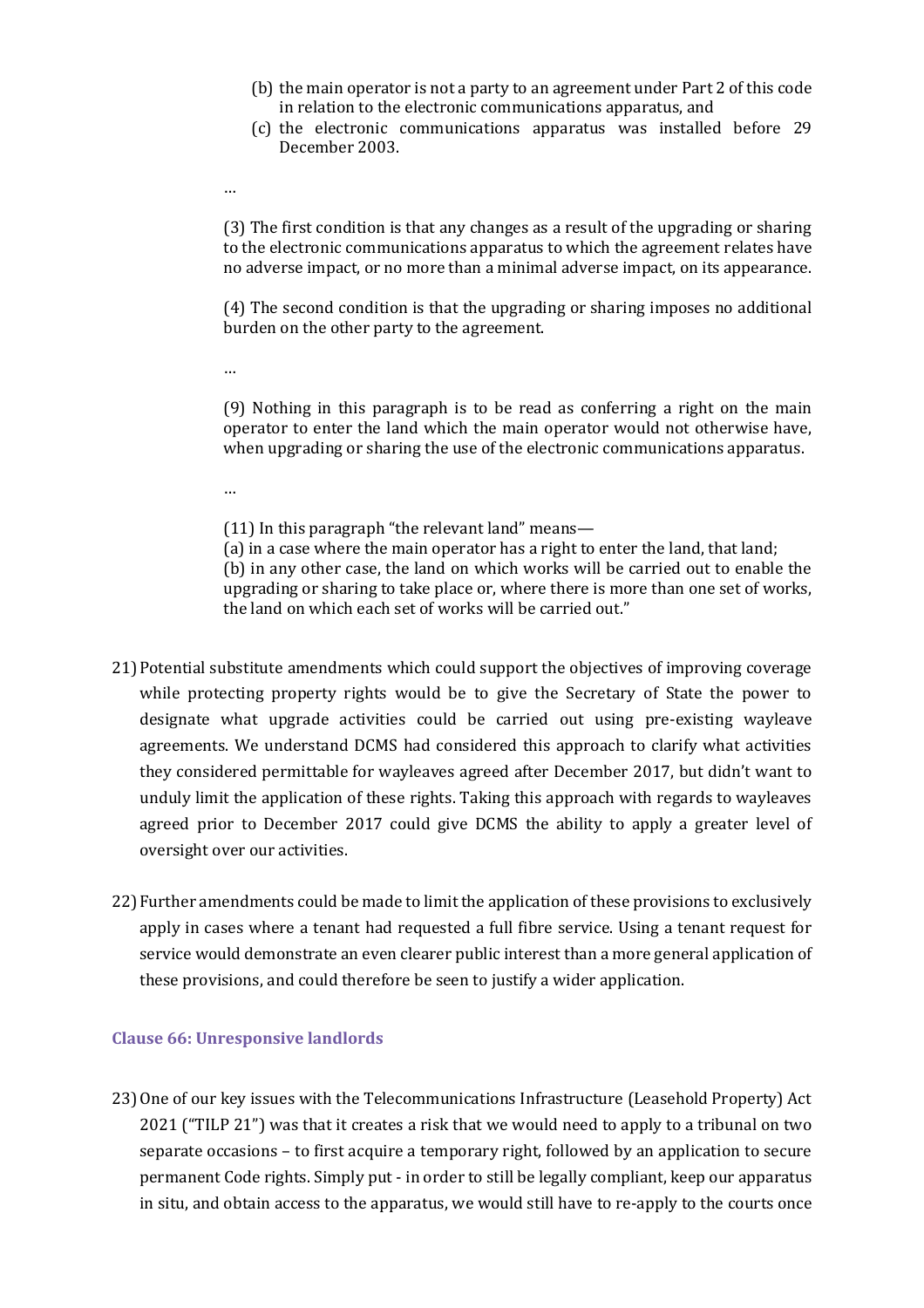- (b) the main operator is not a party to an agreement under Part 2 of this code in relation to the electronic communications apparatus, and
- (c) the electronic communications apparatus was installed before 29 December 2003.
- …

(3) The first condition is that any changes as a result of the upgrading or sharing to the electronic communications apparatus to which the agreement relates have no adverse impact, or no more than a minimal adverse impact, on its appearance.

(4) The second condition is that the upgrading or sharing imposes no additional burden on the other party to the agreement.

…

(9) Nothing in this paragraph is to be read as conferring a right on the main operator to enter the land which the main operator would not otherwise have, when upgrading or sharing the use of the electronic communications apparatus.

…

(11) In this paragraph "the relevant land" means—

(a) in a case where the main operator has a right to enter the land, that land;

(b) in any other case, the land on which works will be carried out to enable the upgrading or sharing to take place or, where there is more than one set of works, the land on which each set of works will be carried out."

- 21)Potential substitute amendments which could support the objectives of improving coverage while protecting property rights would be to give the Secretary of State the power to designate what upgrade activities could be carried out using pre-existing wayleave agreements. We understand DCMS had considered this approach to clarify what activities they considered permittable for wayleaves agreed after December 2017, but didn't want to unduly limit the application of these rights. Taking this approach with regards to wayleaves agreed prior to December 2017 could give DCMS the ability to apply a greater level of oversight over our activities.
- 22) Further amendments could be made to limit the application of these provisions to exclusively apply in cases where a tenant had requested a full fibre service. Using a tenant request for service would demonstrate an even clearer public interest than a more general application of these provisions, and could therefore be seen to justify a wider application.

### **Clause 66: Unresponsive landlords**

23)One of our key issues with the Telecommunications Infrastructure (Leasehold Property) Act 2021 ("TILP 21") was that it creates a risk that we would need to apply to a tribunal on two separate occasions – to first acquire a temporary right, followed by an application to secure permanent Code rights. Simply put - in order to still be legally compliant, keep our apparatus in situ, and obtain access to the apparatus, we would still have to re-apply to the courts once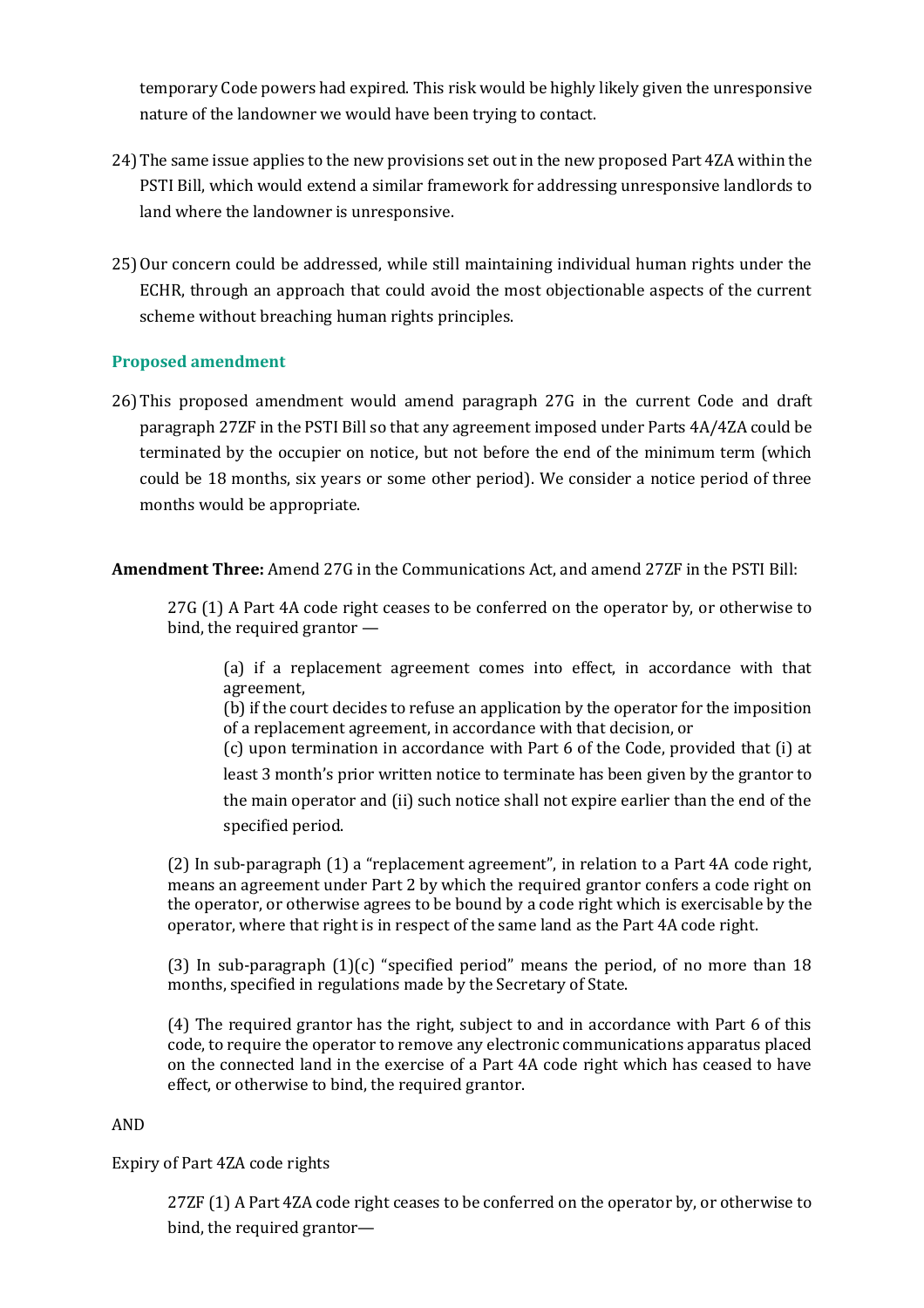temporary Code powers had expired. This risk would be highly likely given the unresponsive nature of the landowner we would have been trying to contact.

- 24)The same issue applies to the new provisions set out in the new proposed Part 4ZA within the PSTI Bill, which would extend a similar framework for addressing unresponsive landlords to land where the landowner is unresponsive.
- 25)Our concern could be addressed, while still maintaining individual human rights under the ECHR, through an approach that could avoid the most objectionable aspects of the current scheme without breaching human rights principles.

## **Proposed amendment**

26)This proposed amendment would amend paragraph 27G in the current Code and draft paragraph 27ZF in the PSTI Bill so that any agreement imposed under Parts 4A/4ZA could be terminated by the occupier on notice, but not before the end of the minimum term (which could be 18 months, six years or some other period). We consider a notice period of three months would be appropriate.

**Amendment Three:** Amend 27G in the Communications Act, and amend 27ZF in the PSTI Bill:

27G (1) A Part 4A code right ceases to be conferred on the operator by, or otherwise to bind, the required grantor —

(a) if a replacement agreement comes into effect, in accordance with that agreement,

(b) if the court decides to refuse an application by the operator for the imposition of a replacement agreement, in accordance with that decision, or

(c) upon termination in accordance with Part 6 of the Code, provided that (i) at least 3 month's prior written notice to terminate has been given by the grantor to the main operator and (ii) such notice shall not expire earlier than the end of the specified period.

(2) In sub-paragraph (1) a "replacement agreement", in relation to a Part 4A code right, means an agreement under Part 2 by which the required grantor confers a code right on the operator, or otherwise agrees to be bound by a code right which is exercisable by the operator, where that right is in respect of the same land as the Part 4A code right.

(3) In sub-paragraph  $(1)(c)$  "specified period" means the period, of no more than 18 months, specified in regulations made by the Secretary of State.

(4) The required grantor has the right, subject to and in accordance with Part 6 of this code, to require the operator to remove any electronic communications apparatus placed on the connected land in the exercise of a Part 4A code right which has ceased to have effect, or otherwise to bind, the required grantor.

### AND

Expiry of Part 4ZA code rights

27ZF (1) A Part 4ZA code right ceases to be conferred on the operator by, or otherwise to bind, the required grantor—